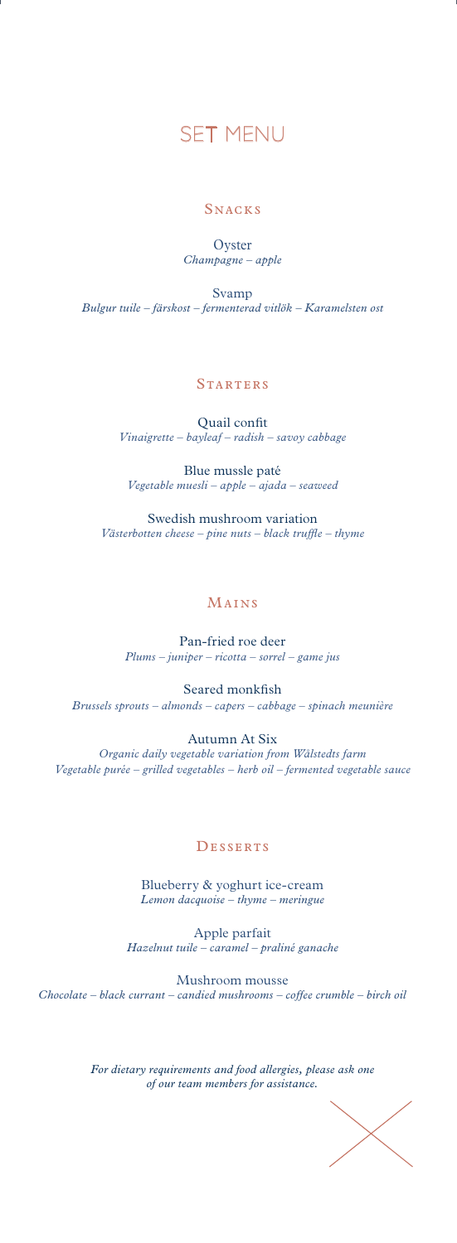

## **SNACKS**

**Oyster** *Champagne – apple*

Svamp *Bulgur tuile – färskost – fermenterad vitlök – Karamelsten ost*

## **STARTERS**

Quail confit *Vinaigrette – bayleaf – radish – savoy cabbage*

Blue mussle paté *Vegetable muesli – apple – ajada – seaweed*

Swedish mushroom variation *Västerbotten cheese – pine nuts – black truffle – thyme*

#### Mains

Pan-fried roe deer *Plums – juniper – ricotta – sorrel – game jus*

Seared monkfish *Brussels sprouts – almonds – capers – cabbage – spinach meunière* 

Autumn At Six *Organic daily vegetable variation from Wålstedts farm Vegetable purée – grilled vegetables – herb oil – fermented vegetable sauce* 

#### **DESSERTS**

Blueberry & yoghurt ice-cream *Lemon dacquoise – thyme – meringue*

Apple parfait *Hazelnut tuile – caramel – praliné ganache*

Mushroom mousse *Chocolate – black currant – candied mushrooms – coffee crumble – birch oil*

> *For dietary requirements and food allergies, please ask one of our team members for assistance.*